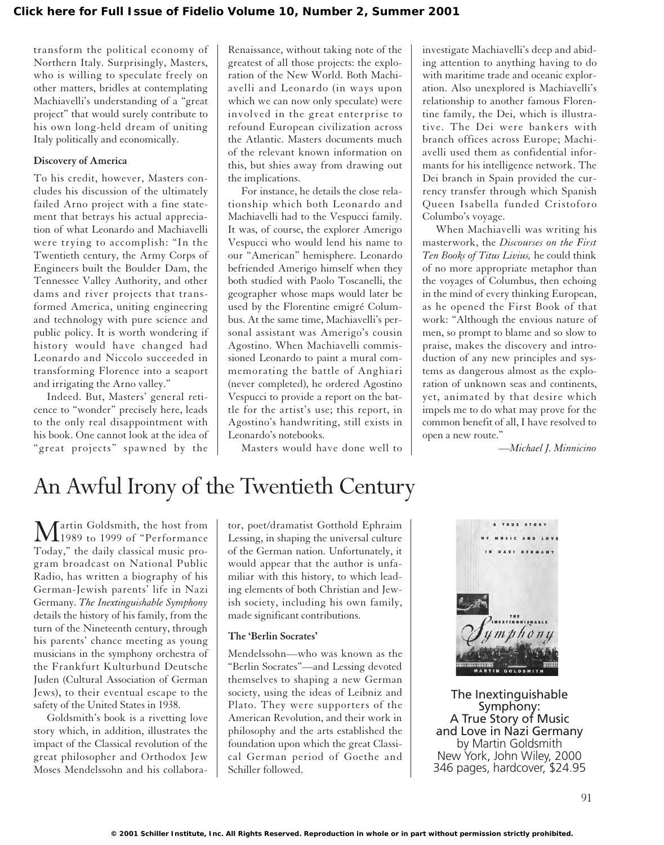transform the political economy of Northern Italy. Surprisingly, Masters, who is willing to speculate freely on other matters, bridles at contemplating Machiavelli's understanding of a "great project" that would surely contribute to his own long-held dream of uniting Italy politically and economically.

### **Discovery of America**

To his credit, however, Masters concludes his discussion of the ultimately failed Arno project with a fine statement that betrays his actual appreciation of what Leonardo and Machiavelli were trying to accomplish: "In the Twentieth century, the Army Corps of Engineers built the Boulder Dam, the Tennessee Valley Authority, and other dams and river projects that transformed America, uniting engineering and technology with pure science and public policy. It is worth wondering if history would have changed had Leonardo and Niccolo succeeded in transforming Florence into a seaport and irrigating the Arno valley."

Indeed. But, Masters' general reticence to "wonder" precisely here, leads to the only real disappointment with his book. One cannot look at the idea of "great projects" spawned by the Renaissance, without taking note of the greatest of all those projects: the exploration of the New World. Both Machiavelli and Leonardo (in ways upon which we can now only speculate) were involved in the great enterprise to refound European civilization across the Atlantic. Masters documents much of the relevant known information on this, but shies away from drawing out the implications.

For instance, he details the close relationship which both Leonardo and Machiavelli had to the Vespucci family. It was, of course, the explorer Amerigo Vespucci who would lend his name to our "American" hemisphere. Leonardo befriended Amerigo himself when they both studied with Paolo Toscanelli, the geographer whose maps would later be used by the Florentine emigré Columbus. At the same time, Machiavelli's personal assistant was Amerigo's cousin Agostino. When Machiavelli commissioned Leonardo to paint a mural commemorating the battle of Anghiari (never completed), he ordered Agostino Vespucci to provide a report on the battle for the artist's use; this report, in Agostino's handwriting, still exists in Leonardo's notebooks.

Masters would have done well to

investigate Machiavelli's deep and abiding attention to anything having to do with maritime trade and oceanic exploration. Also unexplored is Machiavelli's relationship to another famous Florentine family, the Dei, which is illustrative. The Dei were bankers with branch offices across Europe; Machiavelli used them as confidential informants for his intelligence network. The Dei branch in Spain provided the currency transfer through which Spanish Queen Isabella funded Cristoforo Columbo's voyage.

When Machiavelli was writing his masterwork, the *Discourses on the First Ten Books of Titus Livius,* he could think of no more appropriate metaphor than the voyages of Columbus, then echoing in the mind of every thinking European, as he opened the First Book of that work: "Although the envious nature of men, so prompt to blame and so slow to praise, makes the discovery and introduction of any new principles and systems as dangerous almost as the exploration of unknown seas and continents, yet, animated by that desire which impels me to do what may prove for the common benefit of all, I have resolved to open a new route."

*—Michael J. Minnicino*

# An Awful Irony of the Twentieth Century

Martin Goldsmith, the host from<br>
The 1989 to 1999 of "Performance" Today," the daily classical music program broadcast on National Public Radio, has written a biography of his German-Jewish parents' life in Nazi Germany. *The Inextinguishable Symphony* details the history of his family, from the turn of the Nineteenth century, through his parents' chance meeting as young musicians in the symphony orchestra of the Frankfurt Kulturbund Deutsche Juden (Cultural Association of German Jews), to their eventual escape to the safety of the United States in 1938.

Goldsmith's book is a rivetting love story which, in addition, illustrates the impact of the Classical revolution of the great philosopher and Orthodox Jew Moses Mendelssohn and his collaborator, poet/dramatist Gotthold Ephraim Lessing, in shaping the universal culture of the German nation. Unfortunately, it would appear that the author is unfamiliar with this history, to which leading elements of both Christian and Jewish society, including his own family, made significant contributions.

## **The 'Berlin Socrates'**

Mendelssohn—who was known as the "Berlin Socrates"—and Lessing devoted themselves to shaping a new German society, using the ideas of Leibniz and Plato. They were supporters of the American Revolution, and their work in philosophy and the arts established the foundation upon which the great Classical German period of Goethe and Schiller followed.



The Inextinguishable Symphony: A True Story of Music and Love in Nazi Germany by Martin Goldsmith New York, John Wiley, 2000 346 pages, hardcover, \$24.95